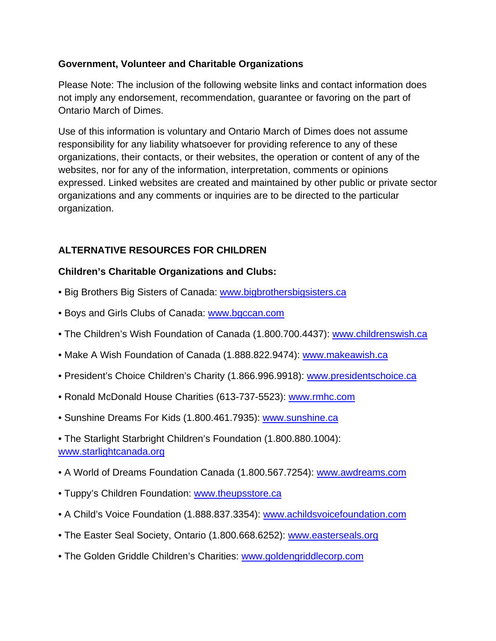### **Government, Volunteer and Charitable Organizations**

Please Note: The inclusion of the following website links and contact information does not imply any endorsement, recommendation, guarantee or favoring on the part of Ontario March of Dimes.

Use of this information is voluntary and Ontario March of Dimes does not assume responsibility for any liability whatsoever for providing reference to any of these organizations, their contacts, or their websites, the operation or content of any of the websites, nor for any of the information, interpretation, comments or opinions expressed. Linked websites are created and maintained by other public or private sector organizations and any comments or inquiries are to be directed to the particular organization.

# **ALTERNATIVE RESOURCES FOR CHILDREN**

## **Children's Charitable Organizations and Clubs:**

- Big Brothers Big Sisters of Canada: www.bigbrothersbigsisters.ca
- Boys and Girls Clubs of Canada: www.bgccan.com
- The Children's Wish Foundation of Canada (1.800.700.4437): www.childrenswish.ca
- Make A Wish Foundation of Canada (1.888.822.9474): www.makeawish.ca
- President's Choice Children's Charity (1.866.996.9918): www.presidentschoice.ca
- Ronald McDonald House Charities (613-737-5523): www.rmhc.com
- Sunshine Dreams For Kids (1.800.461.7935): www.sunshine.ca
- The Starlight Starbright Children's Foundation (1.800.880.1004): www.starlightcanada.org
- A World of Dreams Foundation Canada (1.800.567.7254): www.awdreams.com
- Tuppy's Children Foundation: www.theupsstore.ca
- A Child's Voice Foundation (1.888.837.3354): www.achildsvoicefoundation.com
- The Easter Seal Society, Ontario (1.800.668.6252): www.easterseals.org
- The Golden Griddle Children's Charities: www.goldengriddlecorp.com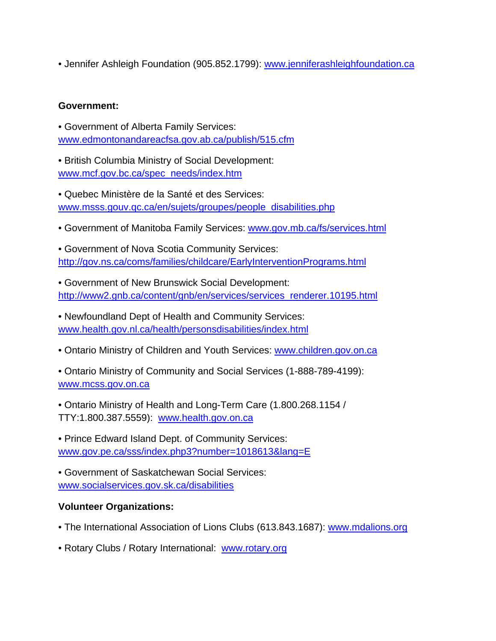• Jennifer Ashleigh Foundation (905.852.1799): www.jenniferashleighfoundation.ca

#### **Government:**

- Government of Alberta Family Services: www.edmontonandareacfsa.gov.ab.ca/publish/515.cfm
- British Columbia Ministry of Social Development: www.mcf.gov.bc.ca/spec needs/index.htm
- Quebec Ministère de la Santé et des Services: www.msss.gouv.qc.ca/en/sujets/groupes/people disabilities.php
- Government of Manitoba Family Services: www.gov.mb.ca/fs/services.html
- Government of Nova Scotia Community Services: http://gov.ns.ca/coms/families/childcare/EarlyInterventionPrograms.html
- Government of New Brunswick Social Development: http://www2.gnb.ca/content/gnb/en/services/services renderer.10195.html

• Newfoundland Dept of Health and Community Services: www.health.gov.nl.ca/health/personsdisabilities/index.html

• Ontario Ministry of Children and Youth Services: www.children.gov.on.ca

• Ontario Ministry of Community and Social Services (1-888-789-4199): www.mcss.gov.on.ca

• Ontario Ministry of Health and Long-Term Care (1.800.268.1154 / TTY:1.800.387.5559): www.health.gov.on.ca

• Prince Edward Island Dept. of Community Services: www.gov.pe.ca/sss/index.php3?number=1018613&lang=E

• Government of Saskatchewan Social Services: www.socialservices.gov.sk.ca/disabilities

#### **Volunteer Organizations:**

- The International Association of Lions Clubs (613.843.1687): www.mdalions.org
- Rotary Clubs / Rotary International: www.rotary.org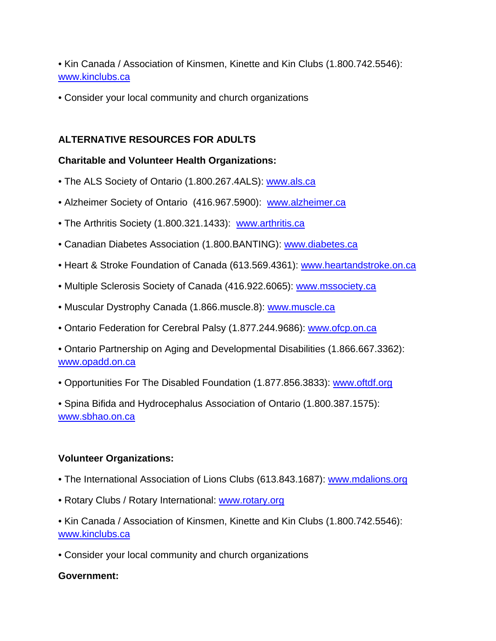• Kin Canada / Association of Kinsmen, Kinette and Kin Clubs (1.800.742.5546): www.kinclubs.ca

• Consider your local community and church organizations

# **ALTERNATIVE RESOURCES FOR ADULTS**

## **Charitable and Volunteer Health Organizations:**

- The ALS Society of Ontario (1.800.267.4ALS): www.als.ca
- Alzheimer Society of Ontario (416.967.5900): www.alzheimer.ca
- The Arthritis Society (1.800.321.1433): www.arthritis.ca
- Canadian Diabetes Association (1.800.BANTING): www.diabetes.ca
- Heart & Stroke Foundation of Canada (613.569.4361): www.heartandstroke.on.ca
- Multiple Sclerosis Society of Canada (416.922.6065): www.mssociety.ca
- Muscular Dystrophy Canada (1.866.muscle.8): www.muscle.ca
- Ontario Federation for Cerebral Palsy (1.877.244.9686): www.ofcp.on.ca

• Ontario Partnership on Aging and Developmental Disabilities (1.866.667.3362): www.opadd.on.ca

• Opportunities For The Disabled Foundation (1.877.856.3833): www.oftdf.org

• Spina Bifida and Hydrocephalus Association of Ontario (1.800.387.1575): www.sbhao.on.ca

### **Volunteer Organizations:**

- The International Association of Lions Clubs (613.843.1687): www.mdalions.org
- Rotary Clubs / Rotary International: www.rotary.org
- Kin Canada / Association of Kinsmen, Kinette and Kin Clubs (1.800.742.5546): www.kinclubs.ca
- Consider your local community and church organizations

### **Government:**